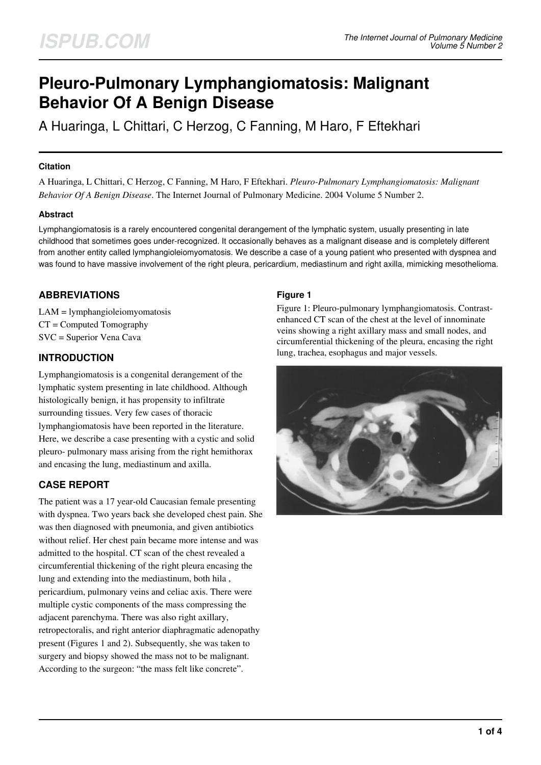# **Pleuro-Pulmonary Lymphangiomatosis: Malignant Behavior Of A Benign Disease**

A Huaringa, L Chittari, C Herzog, C Fanning, M Haro, F Eftekhari

### **Citation**

A Huaringa, L Chittari, C Herzog, C Fanning, M Haro, F Eftekhari. *Pleuro-Pulmonary Lymphangiomatosis: Malignant Behavior Of A Benign Disease*. The Internet Journal of Pulmonary Medicine. 2004 Volume 5 Number 2.

# **Abstract**

Lymphangiomatosis is a rarely encountered congenital derangement of the lymphatic system, usually presenting in late childhood that sometimes goes under-recognized. It occasionally behaves as a malignant disease and is completely different from another entity called lymphangioleiomyomatosis. We describe a case of a young patient who presented with dyspnea and was found to have massive involvement of the right pleura, pericardium, mediastinum and right axilla, mimicking mesothelioma.

# **ABBREVIATIONS**

LAM = lymphangioleiomyomatosis CT = Computed Tomography SVC = Superior Vena Cava

# **INTRODUCTION**

Lymphangiomatosis is a congenital derangement of the lymphatic system presenting in late childhood. Although histologically benign, it has propensity to infiltrate surrounding tissues. Very few cases of thoracic lymphangiomatosis have been reported in the literature. Here, we describe a case presenting with a cystic and solid pleuro- pulmonary mass arising from the right hemithorax and encasing the lung, mediastinum and axilla.

# **CASE REPORT**

The patient was a 17 year-old Caucasian female presenting with dyspnea. Two years back she developed chest pain. She was then diagnosed with pneumonia, and given antibiotics without relief. Her chest pain became more intense and was admitted to the hospital. CT scan of the chest revealed a circumferential thickening of the right pleura encasing the lung and extending into the mediastinum, both hila , pericardium, pulmonary veins and celiac axis. There were multiple cystic components of the mass compressing the adjacent parenchyma. There was also right axillary, retropectoralis, and right anterior diaphragmatic adenopathy present (Figures 1 and 2). Subsequently, she was taken to surgery and biopsy showed the mass not to be malignant. According to the surgeon: "the mass felt like concrete".

# **Figure 1**

Figure 1: Pleuro-pulmonary lymphangiomatosis. Contrastenhanced CT scan of the chest at the level of innominate veins showing a right axillary mass and small nodes, and circumferential thickening of the pleura, encasing the right lung, trachea, esophagus and major vessels.

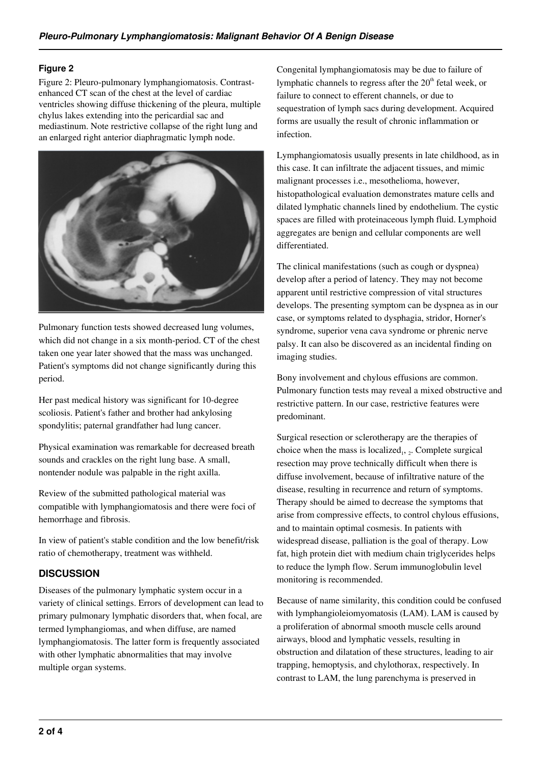### **Figure 2**

Figure 2: Pleuro-pulmonary lymphangiomatosis. Contrastenhanced CT scan of the chest at the level of cardiac ventricles showing diffuse thickening of the pleura, multiple chylus lakes extending into the pericardial sac and mediastinum. Note restrictive collapse of the right lung and an enlarged right anterior diaphragmatic lymph node.



Pulmonary function tests showed decreased lung volumes, which did not change in a six month-period. CT of the chest taken one year later showed that the mass was unchanged. Patient's symptoms did not change significantly during this period.

Her past medical history was significant for 10-degree scoliosis. Patient's father and brother had ankylosing spondylitis; paternal grandfather had lung cancer.

Physical examination was remarkable for decreased breath sounds and crackles on the right lung base. A small, nontender nodule was palpable in the right axilla.

Review of the submitted pathological material was compatible with lymphangiomatosis and there were foci of hemorrhage and fibrosis.

In view of patient's stable condition and the low benefit/risk ratio of chemotherapy, treatment was withheld.

# **DISCUSSION**

Diseases of the pulmonary lymphatic system occur in a variety of clinical settings. Errors of development can lead to primary pulmonary lymphatic disorders that, when focal, are termed lymphangiomas, and when diffuse, are named lymphangiomatosis. The latter form is frequently associated with other lymphatic abnormalities that may involve multiple organ systems.

Congenital lymphangiomatosis may be due to failure of lymphatic channels to regress after the  $20<sup>th</sup>$  fetal week, or failure to connect to efferent channels, or due to sequestration of lymph sacs during development. Acquired forms are usually the result of chronic inflammation or infection.

Lymphangiomatosis usually presents in late childhood, as in this case. It can infiltrate the adjacent tissues, and mimic malignant processes i.e., mesothelioma, however, histopathological evaluation demonstrates mature cells and dilated lymphatic channels lined by endothelium. The cystic spaces are filled with proteinaceous lymph fluid. Lymphoid aggregates are benign and cellular components are well differentiated.

The clinical manifestations (such as cough or dyspnea) develop after a period of latency. They may not become apparent until restrictive compression of vital structures develops. The presenting symptom can be dyspnea as in our case, or symptoms related to dysphagia, stridor, Horner's syndrome, superior vena cava syndrome or phrenic nerve palsy. It can also be discovered as an incidental finding on imaging studies.

Bony involvement and chylous effusions are common. Pulmonary function tests may reveal a mixed obstructive and restrictive pattern. In our case, restrictive features were predominant.

Surgical resection or sclerotherapy are the therapies of choice when the mass is localized<sub>1</sub>,  $_2$ . Complete surgical resection may prove technically difficult when there is diffuse involvement, because of infiltrative nature of the disease, resulting in recurrence and return of symptoms. Therapy should be aimed to decrease the symptoms that arise from compressive effects, to control chylous effusions, and to maintain optimal cosmesis. In patients with widespread disease, palliation is the goal of therapy. Low fat, high protein diet with medium chain triglycerides helps to reduce the lymph flow. Serum immunoglobulin level monitoring is recommended.

Because of name similarity, this condition could be confused with lymphangioleiomyomatosis (LAM). LAM is caused by a proliferation of abnormal smooth muscle cells around airways, blood and lymphatic vessels, resulting in obstruction and dilatation of these structures, leading to air trapping, hemoptysis, and chylothorax, respectively. In contrast to LAM, the lung parenchyma is preserved in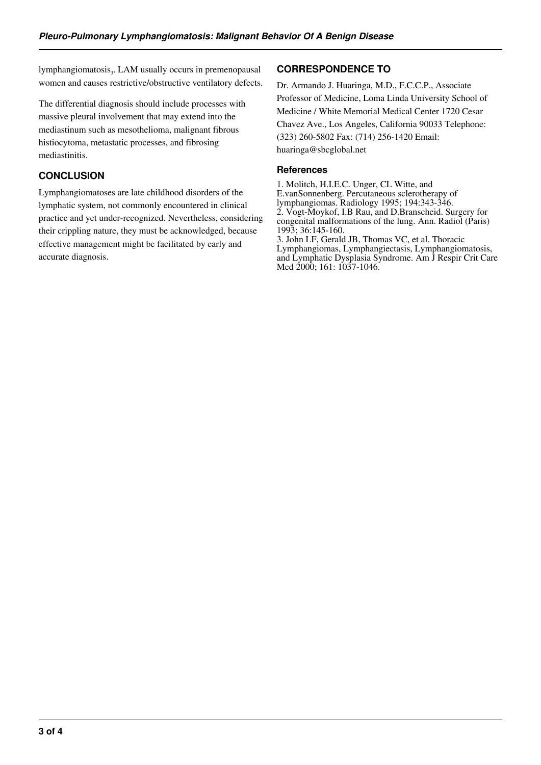lymphangiomatosis<sub>3</sub>. LAM usually occurs in premenopausal women and causes restrictive/obstructive ventilatory defects.

The differential diagnosis should include processes with massive pleural involvement that may extend into the mediastinum such as mesothelioma, malignant fibrous histiocytoma, metastatic processes, and fibrosing mediastinitis.

# **CONCLUSION**

Lymphangiomatoses are late childhood disorders of the lymphatic system, not commonly encountered in clinical practice and yet under-recognized. Nevertheless, considering their crippling nature, they must be acknowledged, because effective management might be facilitated by early and accurate diagnosis.

# **CORRESPONDENCE TO**

Dr. Armando J. Huaringa, M.D., F.C.C.P., Associate Professor of Medicine, Loma Linda University School of Medicine / White Memorial Medical Center 1720 Cesar Chavez Ave., Los Angeles, California 90033 Telephone: (323) 260-5802 Fax: (714) 256-1420 Email: huaringa@sbcglobal.net

# **References**

1. Molitch, H.I.E.C. Unger, CL Witte, and E.vanSonnenberg. Percutaneous sclerotherapy of lymphangiomas. Radiology 1995; 194:343-346. 2. Vogt-Moykof, I.B Rau, and D.Branscheid. Surgery for congenital malformations of the lung. Ann. Radiol (Paris) 1993; 36:145-160. 3. John LF, Gerald JB, Thomas VC, et al. Thoracic Lymphangiomas, Lymphangiectasis, Lymphangiomatosis, and Lymphatic Dysplasia Syndrome. Am J Respir Crit Care Med 2000; 161: 1037-1046.